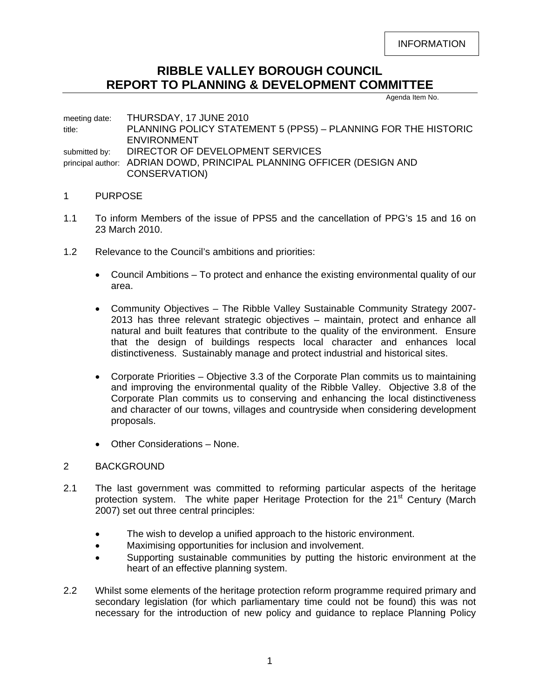INFORMATION

## **RIBBLE VALLEY BOROUGH COUNCIL REPORT TO PLANNING & DEVELOPMENT COMMITTEE**

Agenda Item No.

meeting date: THURSDAY, 17 JUNE 2010 title: PLANNING POLICY STATEMENT 5 (PPS5) – PLANNING FOR THE HISTORIC ENVIRONMENT submitted by: DIRECTOR OF DEVELOPMENT SERVICES principal author: ADRIAN DOWD, PRINCIPAL PLANNING OFFICER (DESIGN AND CONSERVATION)

## 1 PURPOSE

- 1.1 To inform Members of the issue of PPS5 and the cancellation of PPG's 15 and 16 on 23 March 2010.
- 1.2 Relevance to the Council's ambitions and priorities:
	- Council Ambitions To protect and enhance the existing environmental quality of our area.
	- Community Objectives The Ribble Valley Sustainable Community Strategy 2007- 2013 has three relevant strategic objectives – maintain, protect and enhance all natural and built features that contribute to the quality of the environment. Ensure that the design of buildings respects local character and enhances local distinctiveness. Sustainably manage and protect industrial and historical sites.
	- Corporate Priorities Objective 3.3 of the Corporate Plan commits us to maintaining and improving the environmental quality of the Ribble Valley. Objective 3.8 of the Corporate Plan commits us to conserving and enhancing the local distinctiveness and character of our towns, villages and countryside when considering development proposals.
	- Other Considerations None.

## 2 BACKGROUND

- 2.1 The last government was committed to reforming particular aspects of the heritage protection system. The white paper Heritage Protection for the 21<sup>st</sup> Century (March 2007) set out three central principles:
	- The wish to develop a unified approach to the historic environment.
	- Maximising opportunities for inclusion and involvement.
	- Supporting sustainable communities by putting the historic environment at the heart of an effective planning system.
- 2.2 Whilst some elements of the heritage protection reform programme required primary and secondary legislation (for which parliamentary time could not be found) this was not necessary for the introduction of new policy and guidance to replace Planning Policy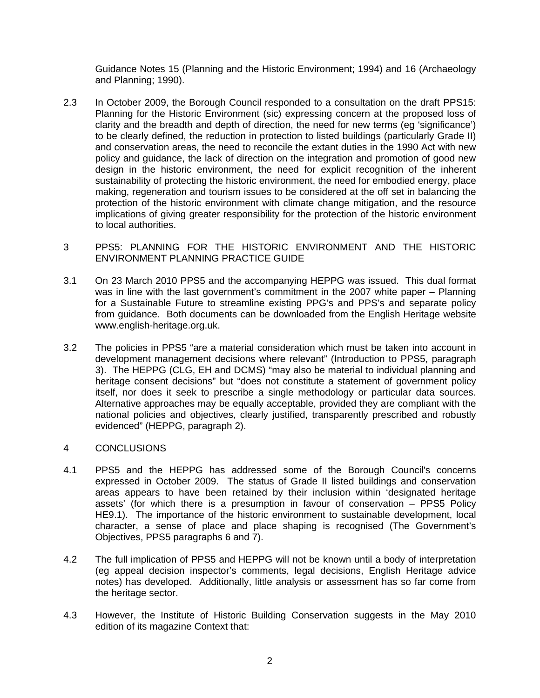Guidance Notes 15 (Planning and the Historic Environment; 1994) and 16 (Archaeology and Planning; 1990).

- 2.3 In October 2009, the Borough Council responded to a consultation on the draft PPS15: Planning for the Historic Environment (sic) expressing concern at the proposed loss of clarity and the breadth and depth of direction, the need for new terms (eg 'significance') to be clearly defined, the reduction in protection to listed buildings (particularly Grade II) and conservation areas, the need to reconcile the extant duties in the 1990 Act with new policy and guidance, the lack of direction on the integration and promotion of good new design in the historic environment, the need for explicit recognition of the inherent sustainability of protecting the historic environment, the need for embodied energy, place making, regeneration and tourism issues to be considered at the off set in balancing the protection of the historic environment with climate change mitigation, and the resource implications of giving greater responsibility for the protection of the historic environment to local authorities.
- 3 PPS5: PLANNING FOR THE HISTORIC ENVIRONMENT AND THE HISTORIC ENVIRONMENT PLANNING PRACTICE GUIDE
- 3.1 On 23 March 2010 PPS5 and the accompanying HEPPG was issued. This dual format was in line with the last government's commitment in the 2007 white paper – Planning for a Sustainable Future to streamline existing PPG's and PPS's and separate policy from guidance. Both documents can be downloaded from the English Heritage website [www.english-heritage.org.uk.](http://www.english-heritage.org.uk/)
- 3.2 The policies in PPS5 "are a material consideration which must be taken into account in development management decisions where relevant" (Introduction to PPS5, paragraph 3). The HEPPG (CLG, EH and DCMS) "may also be material to individual planning and heritage consent decisions" but "does not constitute a statement of government policy itself, nor does it seek to prescribe a single methodology or particular data sources. Alternative approaches may be equally acceptable, provided they are compliant with the national policies and objectives, clearly justified, transparently prescribed and robustly evidenced" (HEPPG, paragraph 2).
- 4 CONCLUSIONS
- 4.1 PPS5 and the HEPPG has addressed some of the Borough Council's concerns expressed in October 2009. The status of Grade II listed buildings and conservation areas appears to have been retained by their inclusion within 'designated heritage assets' (for which there is a presumption in favour of conservation – PPS5 Policy HE9.1). The importance of the historic environment to sustainable development, local character, a sense of place and place shaping is recognised (The Government's Objectives, PPS5 paragraphs 6 and 7).
- 4.2 The full implication of PPS5 and HEPPG will not be known until a body of interpretation (eg appeal decision inspector's comments, legal decisions, English Heritage advice notes) has developed. Additionally, little analysis or assessment has so far come from the heritage sector.
- 4.3 However, the Institute of Historic Building Conservation suggests in the May 2010 edition of its magazine Context that: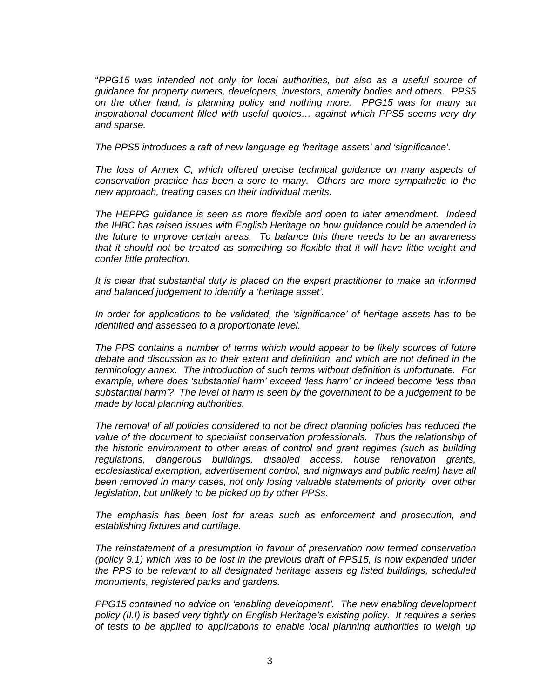"*PPG15 was intended not only for local authorities, but also as a useful source of guidance for property owners, developers, investors, amenity bodies and others. PPS5 on the other hand, is planning policy and nothing more. PPG15 was for many an inspirational document filled with useful quotes… against which PPS5 seems very dry and sparse.* 

 *The PPS5 introduces a raft of new language eg 'heritage assets' and 'significance'.* 

 *The loss of Annex C, which offered precise technical guidance on many aspects of conservation practice has been a sore to many. Others are more sympathetic to the new approach, treating cases on their individual merits.* 

 *The HEPPG guidance is seen as more flexible and open to later amendment. Indeed the IHBC has raised issues with English Heritage on how guidance could be amended in the future to improve certain areas. To balance this there needs to be an awareness that it should not be treated as something so flexible that it will have little weight and confer little protection.* 

 *It is clear that substantial duty is placed on the expert practitioner to make an informed and balanced judgement to identify a 'heritage asset'.* 

 *In order for applications to be validated, the 'significance' of heritage assets has to be identified and assessed to a proportionate level.* 

 *The PPS contains a number of terms which would appear to be likely sources of future debate and discussion as to their extent and definition, and which are not defined in the terminology annex. The introduction of such terms without definition is unfortunate. For example, where does 'substantial harm' exceed 'less harm' or indeed become 'less than substantial harm'? The level of harm is seen by the government to be a judgement to be made by local planning authorities.* 

 *The removal of all policies considered to not be direct planning policies has reduced the value of the document to specialist conservation professionals. Thus the relationship of the historic environment to other areas of control and grant regimes (such as building regulations, dangerous buildings, disabled access, house renovation grants, ecclesiastical exemption, advertisement control, and highways and public realm) have all been removed in many cases, not only losing valuable statements of priority over other legislation, but unlikely to be picked up by other PPSs.* 

 *The emphasis has been lost for areas such as enforcement and prosecution, and establishing fixtures and curtilage.* 

 *The reinstatement of a presumption in favour of preservation now termed conservation (policy 9.1) which was to be lost in the previous draft of PPS15, is now expanded under the PPS to be relevant to all designated heritage assets eg listed buildings, scheduled monuments, registered parks and gardens.* 

 *PPG15 contained no advice on 'enabling development'. The new enabling development policy (II.I) is based very tightly on English Heritage's existing policy. It requires a series of tests to be applied to applications to enable local planning authorities to weigh up*